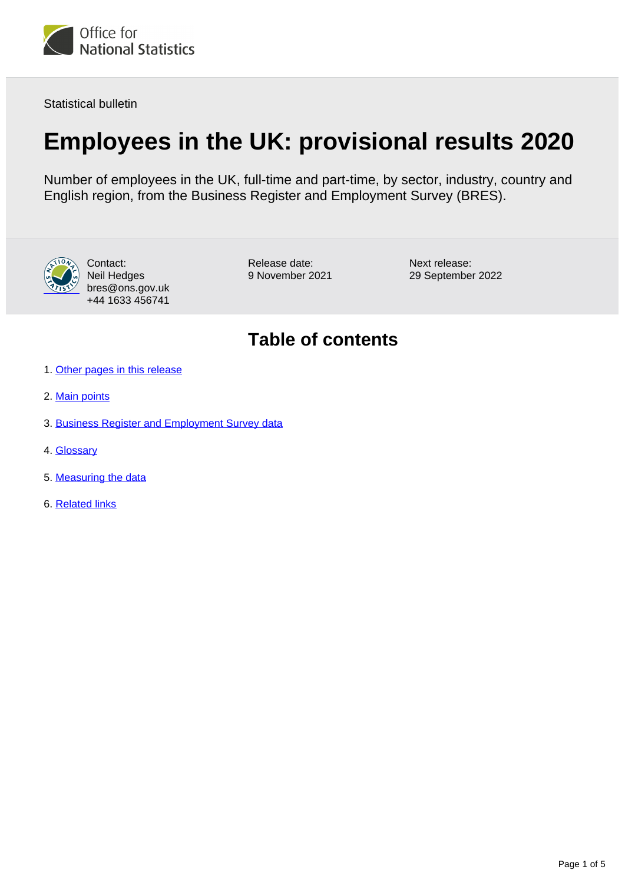

Statistical bulletin

# **Employees in the UK: provisional results 2020**

Number of employees in the UK, full-time and part-time, by sector, industry, country and English region, from the Business Register and Employment Survey (BRES).



Contact: Neil Hedges bres@ons.gov.uk +44 1633 456741

Release date: 9 November 2021 Next release: 29 September 2022

## **Table of contents**

- 1. [Other pages in this release](#page-1-0)
- 2. [Main points](#page-1-1)
- 3. [Business Register and Employment Survey data](#page-2-0)
- 4. [Glossary](#page-2-1)
- 5. [Measuring the data](#page-2-2)
- 6. [Related links](#page-4-0)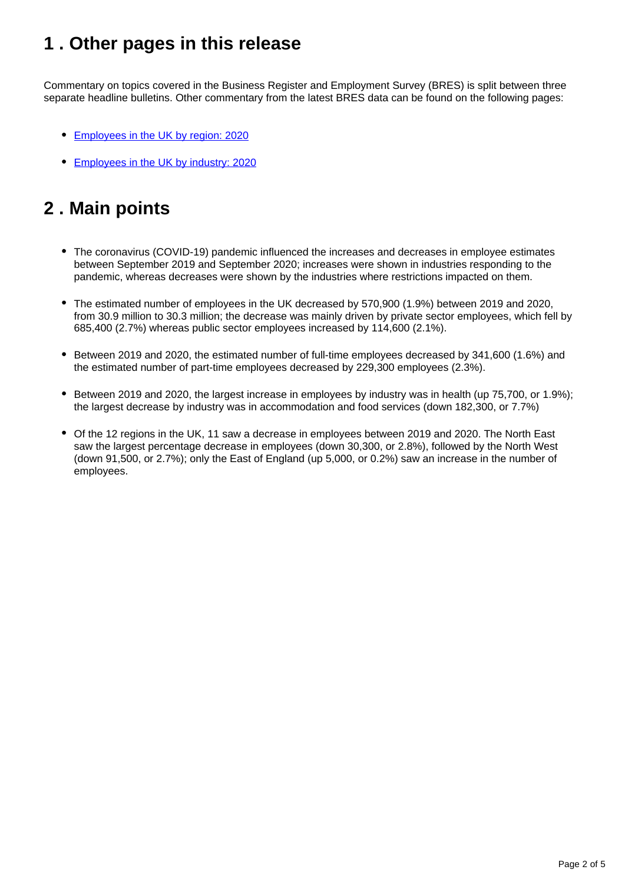## <span id="page-1-0"></span>**1 . Other pages in this release**

Commentary on topics covered in the Business Register and Employment Survey (BRES) is split between three separate headline bulletins. Other commentary from the latest BRES data can be found on the following pages:

- [Employees in the UK by region: 2020](https://www.ons.gov.uk/employmentandlabourmarket/peopleinwork/employmentandemployeetypes/bulletins/employeesintheukbyregion/provisionalresults2020)
- **[Employees in the UK by industry: 2020](https://www.ons.gov.uk/employmentandlabourmarket/peopleinwork/employmentandemployeetypes/bulletins/employeesintheukbyindustry/provisionalresults2020)**

## <span id="page-1-1"></span>**2 . Main points**

- The coronavirus (COVID-19) pandemic influenced the increases and decreases in employee estimates between September 2019 and September 2020; increases were shown in industries responding to the pandemic, whereas decreases were shown by the industries where restrictions impacted on them.
- The estimated number of employees in the UK decreased by 570,900 (1.9%) between 2019 and 2020, from 30.9 million to 30.3 million; the decrease was mainly driven by private sector employees, which fell by 685,400 (2.7%) whereas public sector employees increased by 114,600 (2.1%).
- Between 2019 and 2020, the estimated number of full-time employees decreased by 341,600 (1.6%) and the estimated number of part-time employees decreased by 229,300 employees (2.3%).
- Between 2019 and 2020, the largest increase in employees by industry was in health (up 75,700, or 1.9%); the largest decrease by industry was in accommodation and food services (down 182,300, or 7.7%)
- Of the 12 regions in the UK, 11 saw a decrease in employees between 2019 and 2020. The North East saw the largest percentage decrease in employees (down 30,300, or 2.8%), followed by the North West (down 91,500, or 2.7%); only the East of England (up 5,000, or 0.2%) saw an increase in the number of employees.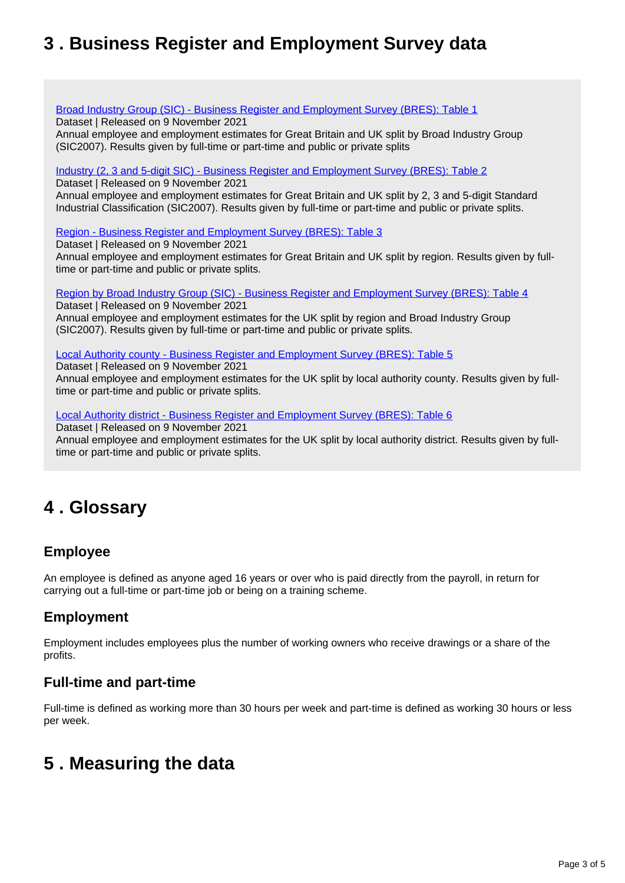## <span id="page-2-0"></span>**3 . Business Register and Employment Survey data**

#### [Broad Industry Group \(SIC\) - Business Register and Employment Survey \(BRES\): Table 1](https://www.ons.gov.uk/employmentandlabourmarket/peopleinwork/employmentandemployeetypes/datasets/broadindustrygroupsicbusinessregisterandemploymentsurveybrestable1)

Dataset | Released on 9 November 2021

Annual employee and employment estimates for Great Britain and UK split by Broad Industry Group (SIC2007). Results given by full-time or part-time and public or private splits

#### [Industry \(2, 3 and 5-digit SIC\) - Business Register and Employment Survey \(BRES\): Table 2](https://www.ons.gov.uk/employmentandlabourmarket/peopleinwork/employmentandemployeetypes/datasets/industry235digitsicbusinessregisterandemploymentsurveybrestable2)

Dataset | Released on 9 November 2021

Annual employee and employment estimates for Great Britain and UK split by 2, 3 and 5-digit Standard Industrial Classification (SIC2007). Results given by full-time or part-time and public or private splits.

[Region - Business Register and Employment Survey \(BRES\): Table 3](https://www.ons.gov.uk/employmentandlabourmarket/peopleinwork/employmentandemployeetypes/datasets/regionbusinessregisterandemploymentsurveybrestable3)

Dataset | Released on 9 November 2021

Annual employee and employment estimates for Great Britain and UK split by region. Results given by fulltime or part-time and public or private splits.

[Region by Broad Industry Group \(SIC\) - Business Register and Employment Survey \(BRES\): Table 4](https://www.ons.gov.uk/employmentandlabourmarket/peopleinwork/employmentandemployeetypes/datasets/regionbybroadindustrygroupsicbusinessregisterandemploymentsurveybrestable4) Dataset | Released on 9 November 2021

Annual employee and employment estimates for the UK split by region and Broad Industry Group (SIC2007). Results given by full-time or part-time and public or private splits.

[Local Authority county - Business Register and Employment Survey \(BRES\): Table 5](https://www.ons.gov.uk/employmentandlabourmarket/peopleinwork/employmentandemployeetypes/datasets/localauthoritycountybusinessregisterandemploymentsurveybrestable5)

Dataset | Released on 9 November 2021

Annual employee and employment estimates for the UK split by local authority county. Results given by fulltime or part-time and public or private splits.

[Local Authority district - Business Register and Employment Survey \(BRES\): Table 6](https://www.ons.gov.uk/employmentandlabourmarket/peopleinwork/employmentandemployeetypes/datasets/localauthoritydistrictbusinessregisterandemploymentsurveybrestable6)

Dataset | Released on 9 November 2021 Annual employee and employment estimates for the UK split by local authority district. Results given by fulltime or part-time and public or private splits.

## <span id="page-2-1"></span>**4 . Glossary**

### **Employee**

An employee is defined as anyone aged 16 years or over who is paid directly from the payroll, in return for carrying out a full-time or part-time job or being on a training scheme.

### **Employment**

Employment includes employees plus the number of working owners who receive drawings or a share of the profits.

### **Full-time and part-time**

Full-time is defined as working more than 30 hours per week and part-time is defined as working 30 hours or less per week.

## <span id="page-2-2"></span>**5 . Measuring the data**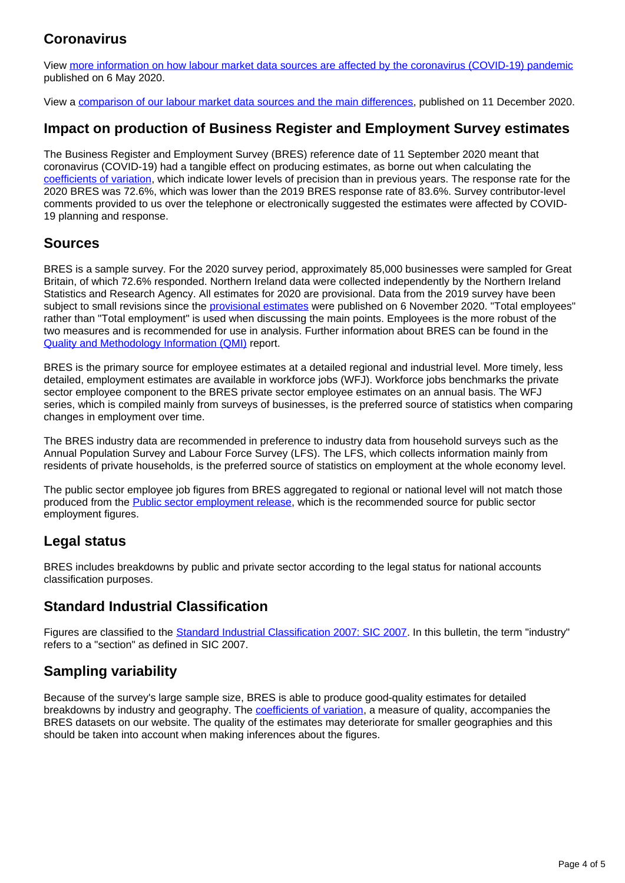### **Coronavirus**

View [more information on how labour market data sources are affected by the coronavirus \(COVID-19\) pandemic](https://www.ons.gov.uk/employmentandlabourmarket/peopleinwork/employmentandemployeetypes/articles/coronavirusandtheeffectsonuklabourmarketstatistics/2020-05-06) published on 6 May 2020.

View a [comparison of our labour market data sources and the main differences,](https://www.ons.gov.uk/employmentandlabourmarket/peopleinwork/employmentandemployeetypes/methodologies/comparisonoflabourmarketdatasources) published on 11 December 2020.

### **Impact on production of Business Register and Employment Survey estimates**

The Business Register and Employment Survey (BRES) reference date of 11 September 2020 meant that coronavirus (COVID-19) had a tangible effect on producing estimates, as borne out when calculating the [coefficients of variation](https://www.ons.gov.uk/methodology/methodologytopicsandstatisticalconcepts/uncertaintyandhowwemeasureit#coefficient-of-variation), which indicate lower levels of precision than in previous years. The response rate for the 2020 BRES was 72.6%, which was lower than the 2019 BRES response rate of 83.6%. Survey contributor-level comments provided to us over the telephone or electronically suggested the estimates were affected by COVID-19 planning and response.

#### **Sources**

BRES is a sample survey. For the 2020 survey period, approximately 85,000 businesses were sampled for Great Britain, of which 72.6% responded. Northern Ireland data were collected independently by the Northern Ireland Statistics and Research Agency. All estimates for 2020 are provisional. Data from the 2019 survey have been subject to small revisions since the [provisional estimates](https://www.ons.gov.uk/employmentandlabourmarket/peopleinwork/employmentandemployeetypes/bulletins/businessregisterandemploymentsurveybresprovisionalresults/2019%20) were published on 6 November 2020. "Total employees" rather than "Total employment" is used when discussing the main points. Employees is the more robust of the two measures and is recommended for use in analysis. Further information about BRES can be found in the [Quality and Methodology Information \(QMI\)](https://www.ons.gov.uk/employmentandlabourmarket/peopleinwork/employmentandemployeetypes/methodologies/businessregisteremploymentsurveybresqmi) report.

BRES is the primary source for employee estimates at a detailed regional and industrial level. More timely, less detailed, employment estimates are available in workforce jobs (WFJ). Workforce jobs benchmarks the private sector employee component to the BRES private sector employee estimates on an annual basis. The WFJ series, which is compiled mainly from surveys of businesses, is the preferred source of statistics when comparing changes in employment over time.

The BRES industry data are recommended in preference to industry data from household surveys such as the Annual Population Survey and Labour Force Survey (LFS). The LFS, which collects information mainly from residents of private households, is the preferred source of statistics on employment at the whole economy level.

The public sector employee job figures from BRES aggregated to regional or national level will not match those produced from the [Public sector employment release,](https://www.ons.gov.uk/employmentandlabourmarket/peopleinwork/publicsectorpersonnel/bulletins/publicsectoremployment/previousReleases) which is the recommended source for public sector employment figures.

### **Legal status**

BRES includes breakdowns by public and private sector according to the legal status for national accounts classification purposes.

### **Standard Industrial Classification**

Figures are classified to the [Standard Industrial Classification 2007: SIC 2007.](https://www.ons.gov.uk/methodology/classificationsandstandards/ukstandardindustrialclassificationofeconomicactivities/uksic2007) In this bulletin, the term "industry" refers to a "section" as defined in SIC 2007.

### **Sampling variability**

Because of the survey's large sample size, BRES is able to produce good-quality estimates for detailed breakdowns by industry and geography. The *[coefficients of variation](https://www.ons.gov.uk/methodology/methodologytopicsandstatisticalconcepts/uncertaintyandhowwemeasureit#coefficient-of-variation)*, a measure of quality, accompanies the BRES datasets on our website. The quality of the estimates may deteriorate for smaller geographies and this should be taken into account when making inferences about the figures.